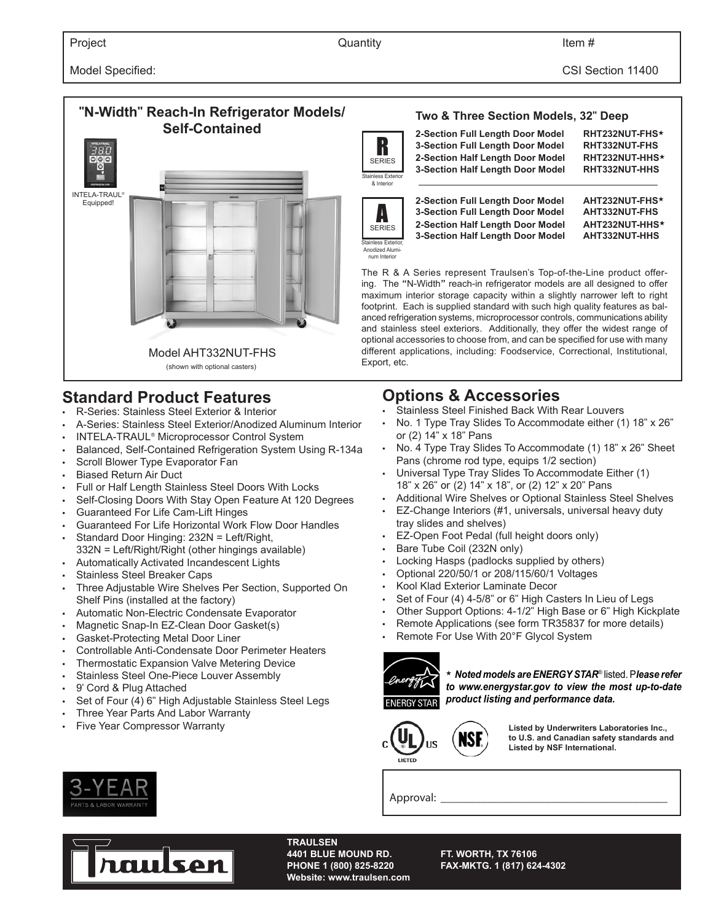# **"N-Width" Reach-In Refrigerator Models/ Self-Contained** Model AHT332NUT-FHS (shown with optional casters) INTELA-TRAUL® Equipped!

### **Standard Product Features**

- R-Series: Stainless Steel Exterior & Interior
- A-Series: Stainless Steel Exterior/Anodized Aluminum Interior
- INTELA-TRAUL® Microprocessor Control System
- Balanced, Self-Contained Refrigeration System Using R-134a
- Scroll Blower Type Evaporator Fan
- Biased Return Air Duct
- Full or Half Length Stainless Steel Doors With Locks
- Self-Closing Doors With Stay Open Feature At 120 Degrees
- Guaranteed For Life Cam-Lift Hinges
- Guaranteed For Life Horizontal Work Flow Door Handles
- Standard Door Hinging: 232N = Left/Right, 332N = Left/Right/Right (other hingings available)
- Automatically Activated Incandescent Lights
- Stainless Steel Breaker Caps
- Three Adjustable Wire Shelves Per Section, Supported On Shelf Pins (installed at the factory)
- Automatic Non-Electric Condensate Evaporator
- Magnetic Snap-In EZ-Clean Door Gasket(s)
- Gasket-Protecting Metal Door Liner
- Controllable Anti-Condensate Door Perimeter Heaters
- Thermostatic Expansion Valve Metering Device
- Stainless Steel One-Piece Louver Assembly
- 9' Cord & Plug Attached
- Set of Four (4) 6" High Adjustable Stainless Steel Legs
- Three Year Parts And Labor Warranty
- Five Year Compressor Warranty







A SERIES aless Exterior Anodized Aluminum Interior

**2-Section Half Length Door Model AHT232NUT-HHS**★ **3-Section Half Length Door Model** The R & A Series represent Traulsen's Top-of-the-Line product offering. The "N-Width" reach-in refrigerator models are all designed to offer

maximum interior storage capacity within a slightly narrower left to right footprint. Each is supplied standard with such high quality features as balanced refrigeration systems, microprocessor controls, communications ability and stainless steel exteriors. Additionally, they offer the widest range of optional accessories to choose from, and can be specified for use with many different applications, including: Foodservice, Correctional, Institutional, Export, etc.

## **Options & Accessories**<br>Catainless Steel Finished Back With

- Stainless Steel Finished Back With Rear Louvers
- No. 1 Type Tray Slides To Accommodate either (1) 18" x 26" or (2) 14" x 18" Pans
- No. 4 Type Tray Slides To Accommodate (1) 18" x 26" Sheet Pans (chrome rod type, equips 1/2 section)
- Universal Type Tray Slides To Accommodate Either (1) 18" x 26" or (2) 14" x 18", or (2) 12" x 20" Pans
- Additional Wire Shelves or Optional Stainless Steel Shelves
- EZ-Change Interiors (#1, universals, universal heavy duty tray slides and shelves)
- EZ-Open Foot Pedal (full height doors only)
- Bare Tube Coil (232N only)
- Locking Hasps (padlocks supplied by others)
- Optional 220/50/1 or 208/115/60/1 Voltages
- 
- Set of Four (4) 4-5/8" or 6" High Casters In Lieu of Legs
- Other Support Options: 4-1/2" High Base or 6" High Kickplate
- Remote Applications (see form TR35837 for more details)
- 



★ *Noted models are ENERGY STAR*® listed. P*lease refer to www.energystar.gov to view the most up-to-date product listing and performance data.* 



**Listed by Underwriters Laboratories Inc., to U.S. and Canadian safety standards and Listed by NSF International.**

Approval:



**TRAULSEN Website: www.traulsen.com**

**4401 BLUE MOUND RD. FT. WORTH, TX 76106 PHONE 1 (800) 825-8220 FAX-MKTG. 1 (817) 624-4302**



- 
- Kool Klad Exterior Laminate Decor
- -
	- Remote For Use With 20°F Glycol System